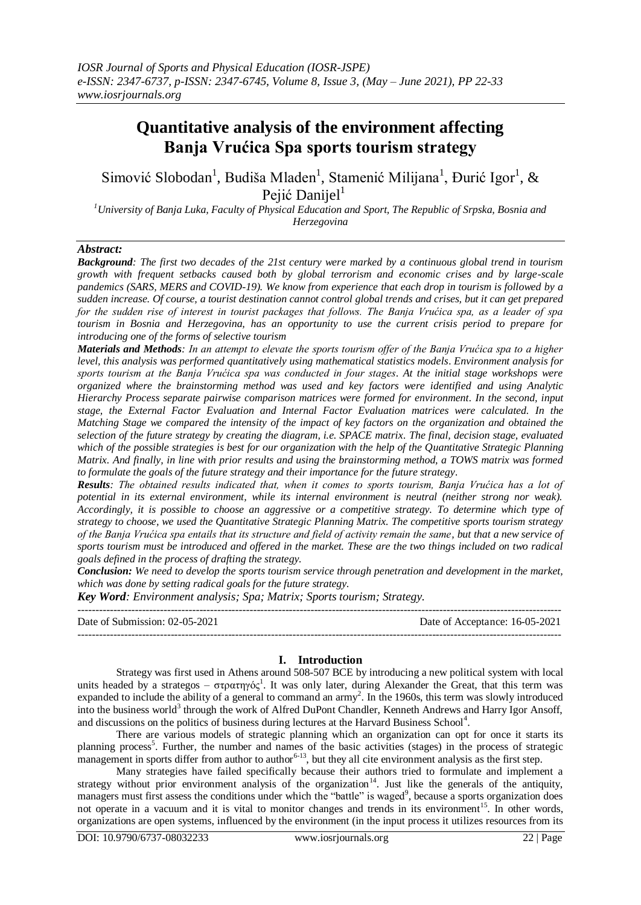# **Quantitative analysis of the environment affecting Banja Vrućica Spa sports tourism strategy**

Simović Slobodan<sup>1</sup>, Budiša Mladen<sup>1</sup>, Stamenić Milijana<sup>1</sup>, Đurić Igor<sup>1</sup>, & Pejić Danijel $<sup>1</sup>$ </sup>

*<sup>1</sup>University of Banja Luka, Faculty of Physical Education and Sport, The Republic of Srpska, Bosnia and Herzegovina*

## *Abstract:*

*Background: The first two decades of the 21st century were marked by a continuous global trend in tourism growth with frequent setbacks caused both by global terrorism and economic crises and by large-scale pandemics (SARS, MERS and COVID-19). We know from experience that each drop in tourism is followed by a sudden increase. Of course, a tourist destination cannot control global trends and crises, but it can get prepared for the sudden rise of interest in tourist packages that follows. The Banja Vrućica spa, as a leader of spa tourism in Bosnia and Herzegovina, has an opportunity to use the current crisis period to prepare for introducing one of the forms of selective tourism*

*Materials and Methods: In an attempt to elevate the sports tourism offer of the Banja Vrućica spa to a higher level, this analysis was performed quantitatively using mathematical statistics models. Environment analysis for sports tourism at the Banja Vrućica spa was conducted in four stages*. *At the initial stage workshops were organized where the brainstorming method was used and key factors were identified and using Analytic Hierarchy Process separate pairwise comparison matrices were formed for environment. In the second, input stage, the External Factor Evaluation and Internal Factor Evaluation matrices were calculated. In the Matching Stage we compared the intensity of the impact of key factors on the organization and obtained the selection of the future strategy by creating the diagram, i.e. SPACE matrix. The final, decision stage, evaluated which of the possible strategies is best for our organization with the help of the Quantitative Strategic Planning Matrix. And finally, in line with prior results and using the brainstorming method, a TOWS matrix was formed to formulate the goals of the future strategy and their importance for the future strategy.*

*Results: The obtained results indicated that, when it comes to sports tourism, Banja Vrućica has a lot of potential in its external environment, while its internal environment is neutral (neither strong nor weak). Accordingly, it is possible to choose an aggressive or a competitive strategy. To determine which type of strategy to choose, we used the Quantitative Strategic Planning Matrix. The competitive sports tourism strategy of the Banja Vrućica spa entails that its structure and field of activity remain the same, but that a new service of*  sports tourism must be introduced and offered in the market. These are the two things included on two radical *goals defined in the process of drafting the strategy.*

*Conclusion: We need to develop the sports tourism service through penetration and development in the market, which was done by setting radical goals for the future strategy.*

*Key Word: Environment analysis; Spa; Matrix; Sports tourism; Strategy.*

--------------------------------------------------------------------------------------------------------------------------------------- Date of Submission: 02-05-2021 Date of Acceptance: 16-05-2021 ---------------------------------------------------------------------------------------------------------------------------------------

## **I. Introduction**

Strategy was first used in Athens around 508-507 BCE by introducing a new political system with local units headed by a strategos – στρατηγός<sup>1</sup>. It was only later, during Alexander the Great, that this term was expanded to include the ability of a general to command an army<sup>2</sup>. In the 1960s, this term was slowly introduced into the business world<sup>3</sup> through the work of Alfred DuPont Chandler, Kenneth Andrews and Harry Igor Ansoff, and discussions on the politics of business during lectures at the Harvard Business School<sup>4</sup>.

There are various models of strategic planning which an organization can opt for once it starts its planning process<sup>5</sup>. Further, the number and names of the basic activities (stages) in the process of strategic management in sports differ from author to author<sup>6-13</sup>, but they all cite environment analysis as the first step.

Many strategies have failed specifically because their authors tried to formulate and implement a strategy without prior environment analysis of the organization<sup>14</sup>. Just like the generals of the antiquity, managers must first assess the conditions under which the "battle" is waged<sup>9</sup>, because a sports organization does not operate in a vacuum and it is vital to monitor changes and trends in its environment<sup>15</sup>. In other words, organizations are open systems, influenced by the environment (in the input process it utilizes resources from its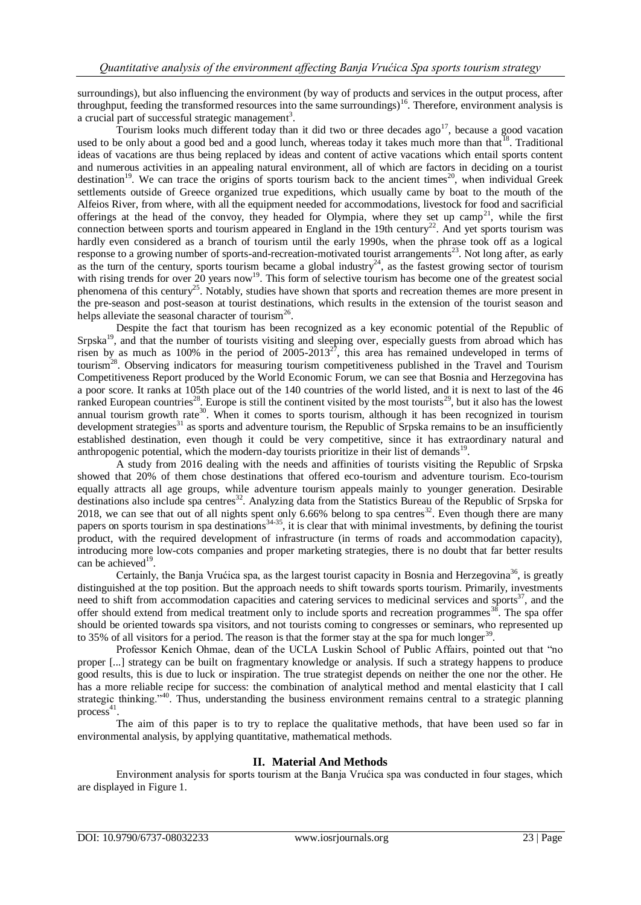surroundings), but also influencing the environment (by way of products and services in the output process, after throughput, feeding the transformed resources into the same surroundings)<sup>16</sup>. Therefore, environment analysis is a crucial part of successful strategic management<sup>3</sup>.

Tourism looks much different today than it did two or three decades ago<sup>17</sup>, because a good vacation used to be only about a good bed and a good lunch, whereas today it takes much more than that <sup>18</sup>. Traditional ideas of vacations are thus being replaced by ideas and content of active vacations which entail sports content and numerous activities in an appealing natural environment, all of which are factors in deciding on a tourist destination<sup>19</sup>. We can trace the origins of sports tourism back to the ancient times<sup>20</sup>, when individual Greek settlements outside of Greece organized true expeditions, which usually came by boat to the mouth of the Alfeios River, from where, with all the equipment needed for accommodations, livestock for food and sacrificial offerings at the head of the convoy, they headed for Olympia, where they set up  $\text{camp}^{21}$ , while the first connection between sports and tourism appeared in England in the 19th century<sup>22</sup>. And yet sports tourism was hardly even considered as a branch of tourism until the early 1990s, when the phrase took off as a logical response to a growing number of sports-and-recreation-motivated tourist arrangements<sup>23</sup>. Not long after, as early as the turn of the century, sports tourism became a global industry<sup>24</sup>, as the fastest growing sector of tourism with rising trends for over 20 years now<sup>19</sup>. This form of selective tourism has become one of the greatest social phenomena of this century<sup>25</sup>. Notably, studies have shown that sports and recreation themes are more present in the pre-season and post-season at tourist destinations, which results in the extension of the tourist season and helps alleviate the seasonal character of tourism<sup>26</sup>.

Despite the fact that tourism has been recognized as a key economic potential of the Republic of Srpska<sup>19</sup>, and that the number of tourists visiting and sleeping over, especially guests from abroad which has risen by as much as 100% in the period of 2005-2013<sup>27</sup>, this area has remained undeveloped in terms of tourism<sup>28</sup>. Observing indicators for measuring tourism competitiveness published in the Travel and Tourism Competitiveness Report produced by the World Economic Forum, we can see that Bosnia and Herzegovina has a poor score. It ranks at 105th place out of the 140 countries of the world listed, and it is next to last of the 46 ranked European countries<sup>28</sup>. Europe is still the continent visited by the most tourists<sup>29</sup>, but it also has the lowest annual tourism growth rate<sup>30</sup>. When it comes to sports tourism, although it has been recognized in tourism development strategies $31$  as sports and adventure tourism, the Republic of Srpska remains to be an insufficiently established destination, even though it could be very competitive, since it has extraordinary natural and anthropogenic potential, which the modern-day tourists prioritize in their list of demands<sup>19</sup>.

A study from 2016 dealing with the needs and affinities of tourists visiting the Republic of Srpska showed that 20% of them chose destinations that offered eco-tourism and adventure tourism. Eco-tourism equally attracts all age groups, while adventure tourism appeals mainly to younger generation. Desirable destinations also include spa centres<sup>32</sup>. Analyzing data from the Statistics Bureau of the Republic of Srpska for 2018, we can see that out of all nights spent only 6.66% belong to spa centres<sup>32</sup>. Even though there are many papers on sports tourism in spa destinations<sup>34-35</sup>, it is clear that with minimal investments, by defining the tourist product, with the required development of infrastructure (in terms of roads and accommodation capacity), introducing more low-cots companies and proper marketing strategies, there is no doubt that far better results can be achieved<sup>19</sup>.

Certainly, the Banja Vrućica spa, as the largest tourist capacity in Bosnia and Herzegovina<sup>36</sup>, is greatly distinguished at the top position. But the approach needs to shift towards sports tourism. Primarily, investments need to shift from accommodation capacities and catering services to medicinal services and sports<sup>37</sup>, and the offer should extend from medical treatment only to include sports and recreation programmes<sup>38</sup>. The spa offer should be oriented towards spa visitors, and not tourists coming to congresses or seminars, who represented up to 35% of all visitors for a period. The reason is that the former stay at the spa for much longer<sup>39</sup>.

Professor Kenich Ohmae, dean of the UCLA Luskin School of Public Affairs, pointed out that "no proper [...] strategy can be built on fragmentary knowledge or analysis. If such a strategy happens to produce good results, this is due to luck or inspiration. The true strategist depends on neither the one nor the other. He has a more reliable recipe for success: the combination of analytical method and mental elasticity that I call strategic thinking.<sup>540</sup>. Thus, understanding the business environment remains central to a strategic planning  $process<sup>41</sup>$ .

The aim of this paper is to try to replace the qualitative methods, that have been used so far in environmental analysis, by applying quantitative, mathematical methods.

## **II. Material And Methods**

Environment analysis for sports tourism at the Banja Vrućica spa was conducted in four stages, which are displayed in Figure 1.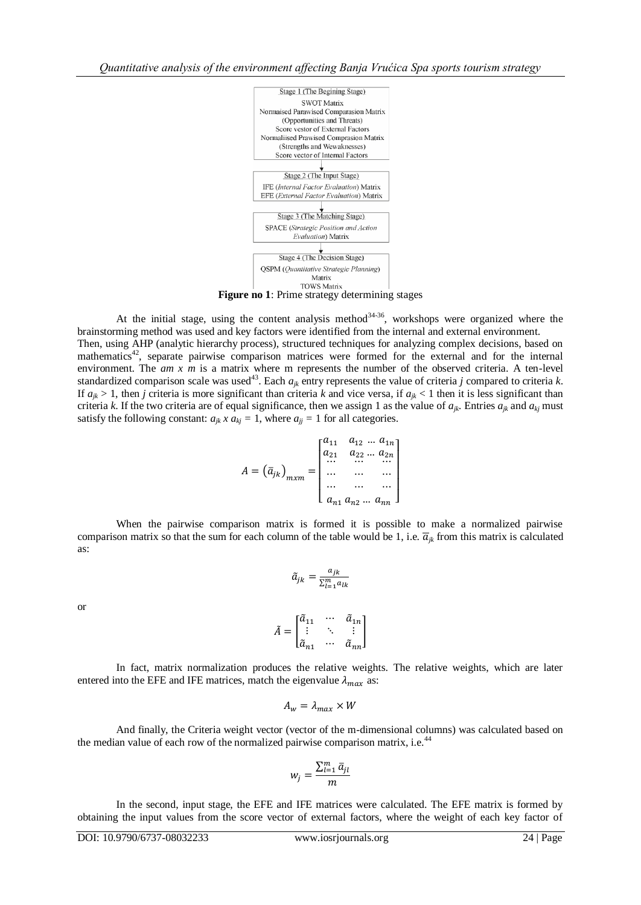

At the initial stage, using the content analysis method<sup>34-36</sup>, workshops were organized where the brainstorming method was used and key factors were identified from the internal and external environment.

Then, using AHP (analytic hierarchy process), structured techniques for analyzing complex decisions, based on mathematics<sup>42</sup>, separate pairwise comparison matrices were formed for the external and for the internal environment. The *am x m* is a matrix where m represents the number of the observed criteria. A ten-level standardized comparison scale was used<sup>43</sup>. Each  $a_{jk}$  entry represents the value of criteria *j* compared to criteria *k*. If  $a_{ik} > 1$ , then *j* criteria is more significant than criteria *k* and vice versa, if  $a_{jk} < 1$  then it is less significant than criteria *k*. If the two criteria are of equal significance, then we assign 1 as the value of  $a_{ik}$ . Entries  $a_{ik}$  and  $a_{ki}$  must satisfy the following constant:  $a_{ik} \times a_{ki} = 1$ , where  $a_{ij} = 1$  for all categories.

$$
A = (\bar{a}_{jk})_{m \times m} = \begin{bmatrix} a_{11} & a_{12} & \dots & a_{1n} \\ a_{21} & a_{22} & \dots & a_{2n} \\ \dots & \dots & \dots & \dots \\ \dots & \dots & \dots & \dots \\ a_{n1} & a_{n2} & \dots & a_{nn} \end{bmatrix}
$$

When the pairwise comparison matrix is formed it is possible to make a normalized pairwise comparison matrix so that the sum for each column of the table would be 1, i.e.  $\overline{a}_{ik}$  from this matrix is calculated as:

$$
\tilde{a}_{jk} = \frac{a_{jk}}{\sum_{l=1}^{m} a_{lk}}
$$

or

$$
\tilde{A} = \begin{bmatrix} \tilde{a}_{11} & \cdots & \tilde{a}_{1n} \\ \vdots & \ddots & \vdots \\ \tilde{a}_{n1} & \cdots & \tilde{a}_{nn} \end{bmatrix}
$$

In fact, matrix normalization produces the relative weights. The relative weights, which are later entered into the EFE and IFE matrices, match the eigenvalue  $\lambda_{max}$  as:

$$
A_w = \lambda_{max} \times W
$$

And finally, the Criteria weight vector (vector of the m-dimensional columns) was calculated based on the median value of each row of the normalized pairwise comparison matrix, i.e.<sup>44</sup>

$$
w_j = \frac{\sum_{l=1}^m \bar{a}_{jl}}{m}
$$

In the second, input stage, the EFE and IFE matrices were calculated. The EFE matrix is formed by obtaining the input values from the score vector of external factors, where the weight of each key factor of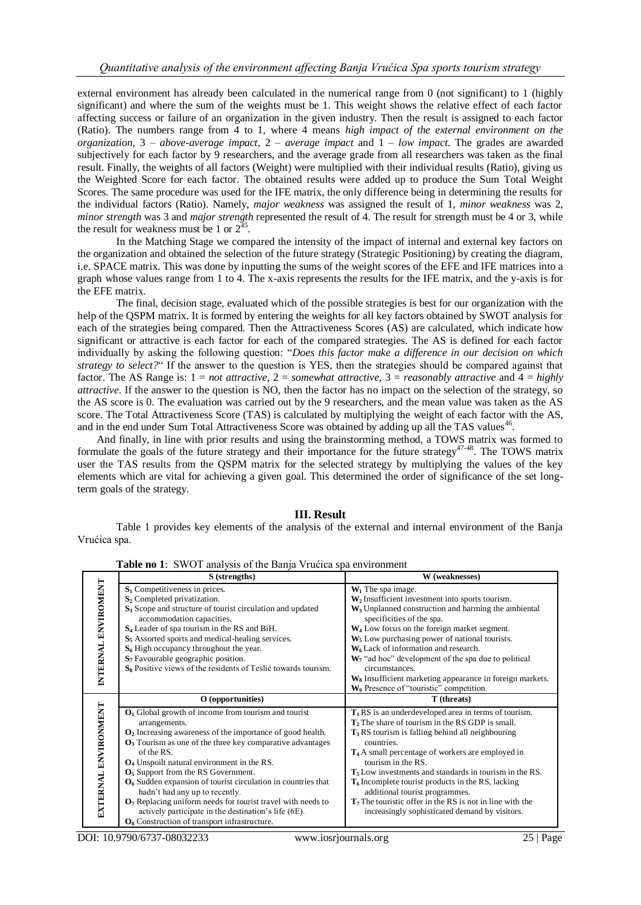external environment has already been calculated in the numerical range from 0 (not significant) to 1 (highly significant) and where the sum of the weights must be 1. This weight shows the relative effect of each factor affecting success or failure of an organization in the given industry. Then the result is assigned to each factor (Ratio). The numbers range from 4 to 1, where 4 means *high impact of the external environment on the organization*, 3 – *above-average impact*, 2 – *average impact* and 1 – *low impact*. The grades are awarded subjectively for each factor by 9 researchers, and the average grade from all researchers was taken as the final result. Finally, the weights of all factors (Weight) were multiplied with their individual results (Ratio), giving us the Weighted Score for each factor. The obtained results were added up to produce the Sum Total Weight Scores. The same procedure was used for the IFE matrix, the only difference being in determining the results for the individual factors (Ratio). Namely, *major weakness* was assigned the result of 1, *minor weakness* was 2, *minor strength* was 3 and *major strength* represented the result of 4. The result for strength must be 4 or 3, while the result for weakness must be 1 or  $2^{35}$ .

In the Matching Stage we compared the intensity of the impact of internal and external key factors on the organization and obtained the selection of the future strategy (Strategic Positioning) by creating the diagram, i.e. SPACE matrix. This was done by inputting the sums of the weight scores of the EFE and IFE matrices into a graph whose values range from 1 to 4. The x-axis represents the results for the IFE matrix, and the y-axis is for the EFE matrix.

The final, decision stage, evaluated which of the possible strategies is best for our organization with the help of the QSPM matrix. It is formed by entering the weights for all key factors obtained by SWOT analysis for each of the strategies being compared. Then the Attractiveness Scores (AS) are calculated, which indicate how significant or attractive is each factor for each of the compared strategies. The AS is defined for each factor individually by asking the following question: "*Does this factor make a difference in our decision on which strategy to select?*" If the answer to the question is YES, then the strategies should be compared against that factor. The AS Range is: 1 = *not attractive*, 2 = *somewhat attractive*, 3 = *reasonably attractive* and 4 = *highly attractive*. If the answer to the question is NO, then the factor has no impact on the selection of the strategy, so the AS score is 0. The evaluation was carried out by the 9 researchers, and the mean value was taken as the AS score. The Total Attractiveness Score (TAS) is calculated by multiplying the weight of each factor with the AS, and in the end under Sum Total Attractiveness Score was obtained by adding up all the TAS values<sup>46</sup>.

And finally, in line with prior results and using the brainstorming method, a TOWS matrix was formed to formulate the goals of the future strategy and their importance for the future strategy<sup>47-48</sup>. The TOWS matrix user the TAS results from the QSPM matrix for the selected strategy by multiplying the values of the key elements which are vital for achieving a given goal. This determined the order of significance of the set longterm goals of the strategy.

### **III. Result**

Table 1 provides key elements of the analysis of the external and internal environment of the Banja Vrućica spa.

|                      | <b>Table II0 1.</b> SWOT analysis Of the Ballia Vitatica spa environment                                |                                                                      |
|----------------------|---------------------------------------------------------------------------------------------------------|----------------------------------------------------------------------|
|                      | S (strengths)                                                                                           | W (weaknesses)                                                       |
|                      | $S_1$ Competitiveness in prices.                                                                        | $W_1$ The spa image.                                                 |
|                      | $S_2$ Completed privatization.                                                                          | $W_2$ Insufficient investment into sports tourism.                   |
|                      | S <sub>3</sub> Scope and structure of tourist circulation and updated                                   | W <sub>3</sub> Unplanned construction and harming the ambiental      |
|                      | accommodation capacities.                                                                               | specificities of the spa.                                            |
|                      | S <sub>4</sub> Leader of spa tourism in the RS and BiH.                                                 | $W_4$ Low focus on the foreign market segment.                       |
|                      | $S5$ Assorted sports and medical-healing services.                                                      | $W5$ Low purchasing power of national tourists.                      |
|                      | $S_6$ High occupancy throughout the year.                                                               | $W_6$ Lack of information and research.                              |
| INTERNAL ENVIROMENT  | S <sub>7</sub> Favourable geographic position.                                                          | $W_7$ "ad hoc" development of the spa due to political               |
|                      | S <sub>8</sub> Positive views of the residents of Teslić towards tourism.                               | circumstances.                                                       |
|                      |                                                                                                         | W <sub>8</sub> Insufficient marketing appearance in foreign markets. |
|                      |                                                                                                         | W <sub>9</sub> Presence of "touristic" competition.                  |
|                      | O (opportunities)                                                                                       |                                                                      |
|                      |                                                                                                         | T (threats)                                                          |
|                      | $O1$ Global growth of income from tourism and tourist                                                   | $T_1$ RS is an underdeveloped area in terms of tourism.              |
|                      | arrangements.                                                                                           | $T2$ The share of tourism in the RS GDP is small.                    |
|                      | $O2$ Increasing awareness of the importance of good health.                                             | $T_3RS$ tourism is falling behind all neighbouring                   |
|                      | $\mathbf{O}_3$ Tourism as one of the three key comparative advantages                                   | countries.                                                           |
|                      | of the RS.                                                                                              | $T4A$ small percentage of workers are employed in                    |
|                      | O <sub>4</sub> Unspoilt natural environment in the RS.                                                  | tourism in the RS.                                                   |
|                      | $O5$ Support from the RS Government.                                                                    | $T_5$ Low investments and standards in tourism in the RS.            |
|                      | $O6$ Sudden expansion of tourist circulation in countries that                                          | $T_6$ Incomplete tourist products in the RS, lacking                 |
|                      | hadn't had any up to recently.                                                                          | additional tourist programmes.                                       |
|                      | $O7$ Replacing uniform needs for tourist travel with needs to                                           | $T7$ The touristic offer in the RS is not in line with the           |
| EXTERNAL ENVIRONMENT | actively participate in the destination's life (6E).<br>$O_8$ Construction of transport infrastructure. | increasingly sophisticated demand by visitors.                       |

**Table no 1: SWOT analyzis of the Banja Vrućica spa environment**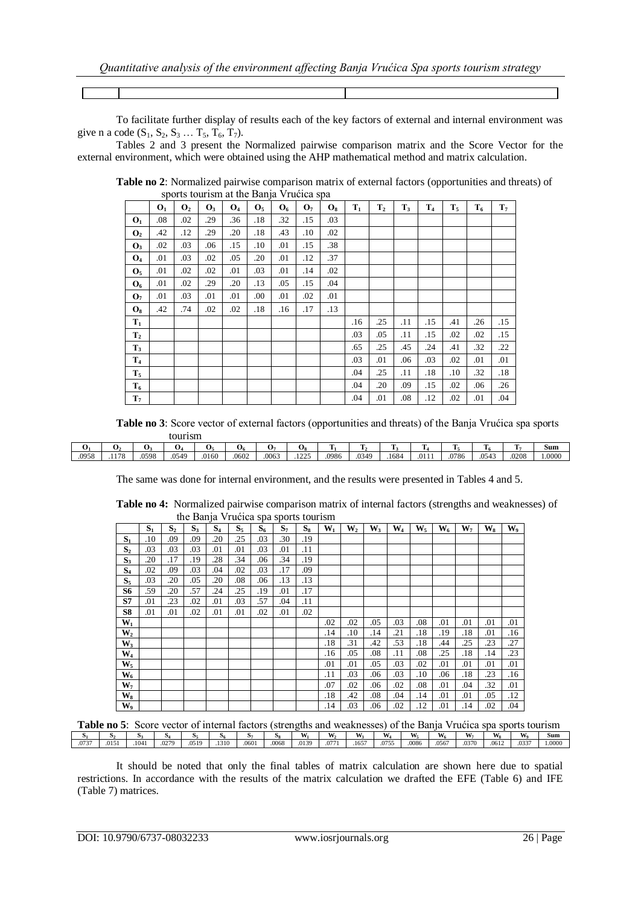To facilitate further display of results each of the key factors of external and internal environment was give n a code  $(S_1, S_2, S_3 ... T_5, T_6, T_7)$ .

Tables 2 and 3 present the Normalized pairwise comparison matrix and the Score Vector for the external environment, which were obtained using the AHP mathematical method and matrix calculation.

|                       |                |                | sports tourism at the Banja Viticica spa |                |                |                |                |                |       |                |       |                |                |       |                |
|-----------------------|----------------|----------------|------------------------------------------|----------------|----------------|----------------|----------------|----------------|-------|----------------|-------|----------------|----------------|-------|----------------|
|                       | O <sub>1</sub> | $\mathbf{O}_2$ | $\mathbf{O}_3$                           | $\mathbf{O}_4$ | $\mathbf{O}_5$ | $\mathbf{O}_6$ | O <sub>7</sub> | $\mathbf{O}_8$ | $T_1$ | T <sub>2</sub> | $T_3$ | T <sub>4</sub> | $\mathbf{T}_5$ | $T_6$ | T <sub>7</sub> |
| O <sub>1</sub>        | .08            | .02            | .29                                      | .36            | .18            | .32            | .15            | .03            |       |                |       |                |                |       |                |
| $\mathbf{O}_2$        | .42            | .12            | .29                                      | .20            | .18            | .43            | .10            | .02            |       |                |       |                |                |       |                |
| $\mathbf{O}_3$        | .02            | .03            | .06                                      | .15            | .10            | .01            | .15            | .38            |       |                |       |                |                |       |                |
| <b>O</b> <sub>4</sub> | .01            | .03            | .02                                      | .05            | .20            | .01            | .12            | .37            |       |                |       |                |                |       |                |
| O <sub>5</sub>        | .01            | .02            | .02                                      | .01            | .03            | .01            | .14            | .02            |       |                |       |                |                |       |                |
| O <sub>6</sub>        | .01            | .02            | .29                                      | .20            | .13            | .05            | .15            | .04            |       |                |       |                |                |       |                |
| O <sub>7</sub>        | .01            | .03            | .01                                      | .01            | .00            | .01            | .02            | .01            |       |                |       |                |                |       |                |
| $\mathbf{O}_8$        | .42            | .74            | .02                                      | .02            | .18            | .16            | .17            | .13            |       |                |       |                |                |       |                |
| $T_1$                 |                |                |                                          |                |                |                |                |                | .16   | .25            | .11   | .15            | .41            | .26   | .15            |
| T <sub>2</sub>        |                |                |                                          |                |                |                |                |                | .03   | .05            | .11   | .15            | .02            | .02   | .15            |
| $T_3$                 |                |                |                                          |                |                |                |                |                | .65   | .25            | .45   | .24            | .41            | .32   | .22            |
| T <sub>4</sub>        |                |                |                                          |                |                |                |                |                | .03   | .01            | .06   | .03            | .02            | .01   | .01            |
| $T_5$                 |                |                |                                          |                |                |                |                |                | .04   | .25            | .11   | .18            | .10            | .32   | .18            |
| $T_6$                 |                |                |                                          |                |                |                |                |                | .04   | .20            | .09   | .15            | .02            | .06   | .26            |
| T <sub>7</sub>        |                |                |                                          |                |                |                |                |                | .04   | .01            | .08   | .12            | .02            | .01   | .04            |

**Table no 2**: Normalized pairwise comparison matrix of external factors (opportunities and threats) of sports tourism at the Banja Vrućica spa

**Table no 3**: Score vector of external factors (opportunities and threats) of the Banja Vrućica spa sports tourism

|       | ີ   | ◡    |                          | v,    | U6    | ◡     | v.                   |       | -     | -     | m                  | -    | <b>CONTRACT</b>                   | m     | Sum   |
|-------|-----|------|--------------------------|-------|-------|-------|----------------------|-------|-------|-------|--------------------|------|-----------------------------------|-------|-------|
| .0958 | 178 | 0598 | $0 = 10$<br>1549<br>.v., | .0160 | .0602 | .0063 | 225<br>$\frac{1}{2}$ | .0986 | .0349 | .1684 | 0111<br>$\cdot$ vi | 9786 | $\sim$ $ +$ $-$<br>$.054^{\circ}$ | .0208 | .0000 |

The same was done for internal environment, and the results were presented in Tables 4 and 5.

| Table no 4: Normalized pairwise comparison matrix of internal factors (strengths and weaknesses) of |
|-----------------------------------------------------------------------------------------------------|
| the Banja Vrućica spa sports tourism                                                                |

|                |       |                |       | ◡     |       | л.    | л.    |       |       |                |       |                |         |       |     |                         |     |
|----------------|-------|----------------|-------|-------|-------|-------|-------|-------|-------|----------------|-------|----------------|---------|-------|-----|-------------------------|-----|
|                | $S_1$ | S <sub>2</sub> | $S_3$ | $S_4$ | $S_5$ | $S_6$ | $S_7$ | $S_8$ | $W_1$ | W <sub>2</sub> | $W_3$ | $\mathbf{W}_4$ | $W_{5}$ | $W_6$ | W,  | $\mathbf{W}_\mathbf{s}$ | W,  |
| $S_1$          | .10   | .09            | .09   | .20   | .25   | .03   | .30   | .19   |       |                |       |                |         |       |     |                         |     |
| S <sub>2</sub> | .03   | .03            | .03   | .01   | .01   | .03   | .01   | .11   |       |                |       |                |         |       |     |                         |     |
| $S_3$          | .20   | .17            | .19   | .28   | .34   | .06   | .34   | .19   |       |                |       |                |         |       |     |                         |     |
| $S_4$          | .02   | .09            | .03   | .04   | .02   | .03   | .17   | .09   |       |                |       |                |         |       |     |                         |     |
| $S_5$          | .03   | .20            | .05   | .20   | .08   | .06   | .13   | .13   |       |                |       |                |         |       |     |                         |     |
| S6             | .59   | .20            | .57   | .24   | .25   | .19   | .01   | .17   |       |                |       |                |         |       |     |                         |     |
| S7             | .01   | .23            | .02   | .01   | .03   | .57   | .04   | .11   |       |                |       |                |         |       |     |                         |     |
| S8             | .01   | .01            | .02   | .01   | .01   | .02   | .01   | .02   |       |                |       |                |         |       |     |                         |     |
| $W_1$          |       |                |       |       |       |       |       |       | .02   | .02            | .05   | .03            | .08     | .01   | .01 | .01                     | .01 |
| $W_2$          |       |                |       |       |       |       |       |       | .14   | .10            | .14   | .21            | .18     | .19   | .18 | .01                     | .16 |
| $W_3$          |       |                |       |       |       |       |       |       | .18   | .31            | .42   | .53            | .18     | .44   | .25 | .23                     | .27 |
| $W_4$          |       |                |       |       |       |       |       |       | .16   | .05            | .08   | .11            | .08     | .25   | .18 | .14                     | .23 |
| $W_5$          |       |                |       |       |       |       |       |       | .01   | .01            | .05   | .03            | .02     | .01   | .01 | .01                     | .01 |
| $\mathbf{W}_6$ |       |                |       |       |       |       |       |       | .11   | .03            | .06   | .03            | .10     | .06   | .18 | .23                     | .16 |
| $W_7$          |       |                |       |       |       |       |       |       | .07   | .02            | .06   | .02            | .08     | .01   | .04 | .32                     | .01 |
| $\mathbf{W}_8$ |       |                |       |       |       |       |       |       | .18   | .42            | .08   | .04            | .14     | .01   | .01 | .05                     | .12 |
| W,             |       |                |       |       |       |       |       |       | .14   | .03            | .06   | .02            | .12     | .01   | .14 | .02                     | .04 |

| Table no 5:<br>Score vector of internal factors (strengths and weaknesses) of the Banja Vrućica spa sports tourism |      |      |       |      |      |       |       |       |  |       |       |       |       |       |       |       |       |
|--------------------------------------------------------------------------------------------------------------------|------|------|-------|------|------|-------|-------|-------|--|-------|-------|-------|-------|-------|-------|-------|-------|
|                                                                                                                    |      |      |       |      |      |       |       |       |  |       |       |       |       |       |       |       | Sum   |
|                                                                                                                    | 0151 | 1041 | .0279 | 0519 | 1310 | .0601 | .0068 | .0139 |  | .1657 | .0755 | .0086 | .0567 | .0370 | .0612 | .0337 | .0000 |

It should be noted that only the final tables of matrix calculation are shown here due to spatial restrictions. In accordance with the results of the matrix calculation we drafted the EFE (Table 6) and IFE (Table 7) matrices.

 $\mathsf{I}$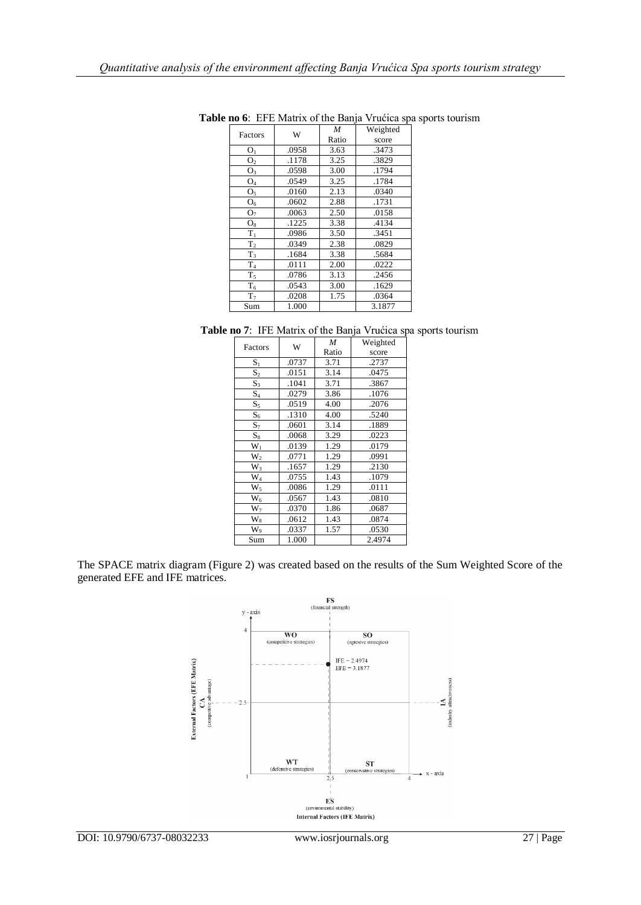| Factors        | W     | M                                                                                                                    | Weighted |  |  |  |  |  |
|----------------|-------|----------------------------------------------------------------------------------------------------------------------|----------|--|--|--|--|--|
|                |       | Ratio<br>score<br>.3473<br>3.63<br>3.25<br>.3829<br>3.00<br>.1794<br>3.25<br>.1784<br>2.13<br>.0340<br>2.88<br>.1731 |          |  |  |  |  |  |
| O <sub>1</sub> | .0958 |                                                                                                                      |          |  |  |  |  |  |
| O <sub>2</sub> | .1178 |                                                                                                                      |          |  |  |  |  |  |
| $\mathrm{O}_3$ | .0598 |                                                                                                                      |          |  |  |  |  |  |
| O <sub>4</sub> | .0549 |                                                                                                                      |          |  |  |  |  |  |
| O <sub>5</sub> | .0160 |                                                                                                                      |          |  |  |  |  |  |
| $O_6$          | .0602 |                                                                                                                      |          |  |  |  |  |  |
| O <sub>7</sub> | .0063 | 2.50                                                                                                                 | .0158    |  |  |  |  |  |
| $O_8$          | .1225 | 3.38                                                                                                                 | .4134    |  |  |  |  |  |
| $T_1$          | .0986 | 3.50                                                                                                                 | .3451    |  |  |  |  |  |
| T <sub>2</sub> | .0349 | 2.38                                                                                                                 | .0829    |  |  |  |  |  |
| $T_3$          | .1684 | 3.38                                                                                                                 | .5684    |  |  |  |  |  |
| $\rm T_4$      | .0111 | 2.00                                                                                                                 | .0222    |  |  |  |  |  |
| $T_5$          | .0786 | 3.13                                                                                                                 | .2456    |  |  |  |  |  |
| T <sub>6</sub> | .0543 | 3.00                                                                                                                 | .1629    |  |  |  |  |  |
| T <sub>7</sub> | .0208 | 1.75                                                                                                                 | .0364    |  |  |  |  |  |
| Sum            | 1.000 |                                                                                                                      | 3.1877   |  |  |  |  |  |

**Table no 6**: EFE Matrix of the Banja Vrućica spa sports tourism

| Factors          | W     | M     | Weighted |
|------------------|-------|-------|----------|
|                  |       | Ratio | score    |
| $S_1$            | .0737 | 3.71  | .2737    |
| $S_2$            | .0151 | 3.14  | .0475    |
| $\mathbf{S}_3$   | .1041 | 3.71  | .3867    |
| $S_4$            | .0279 | 3.86  | .1076    |
| $S_5$            | .0519 | 4.00  | .2076    |
| $S_6$            | .1310 | 4.00  | .5240    |
| $S_7$            | .0601 | 3.14  | .1889    |
| $S_8$            | .0068 | 3.29  | .0223    |
| $W_1$            | .0139 | 1.29  | .0179    |
| $W_2$            | .0771 | 1.29  | .0991    |
| $\overline{W}_3$ | .1657 | 1.29  | .2130    |
| $W_4$            | .0755 | 1.43  | .1079    |
| $W_5$            | .0086 | 1.29  | .0111    |
| $W_6$            | .0567 | 1.43  | .0810    |
| $W_7$            | .0370 | 1.86  | .0687    |
| $W_8$            | .0612 | 1.43  | .0874    |
| $W_9$            | .0337 | 1.57  | .0530    |
| Sum              | 1.000 |       | 2.4974   |

The SPACE matrix diagram (Figure 2) was created based on the results of the Sum Weighted Score of the generated EFE and IFE matrices.

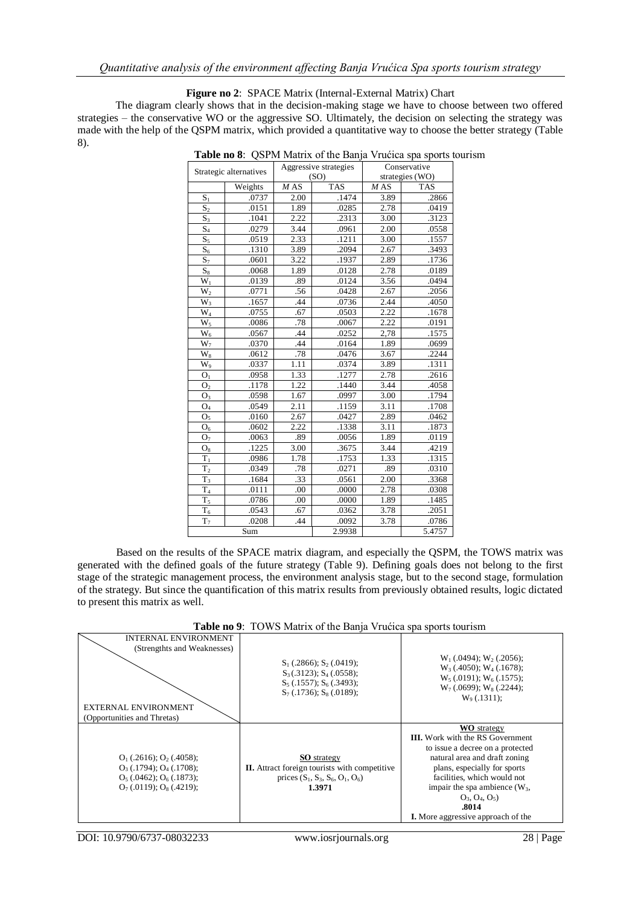#### **Figure no 2**: SPACE Matrix (Internal-External Matrix) Chart

The diagram clearly shows that in the decision-making stage we have to choose between two offered strategies – the conservative WO or the aggressive SO. Ultimately, the decision on selecting the strategy was made with the help of the QSPM matrix, which provided a quantitative way to choose the better strategy (Table 8).

|                        | Strategic alternatives |      | Aggressive strategies |      | Conservative<br>strategies (WO) |  |  |  |
|------------------------|------------------------|------|-----------------------|------|---------------------------------|--|--|--|
|                        |                        |      | (SO)                  |      |                                 |  |  |  |
|                        | Weights                | MAS  | <b>TAS</b>            | MAS  | <b>TAS</b>                      |  |  |  |
| S <sub>1</sub>         | .0737                  | 2.00 | .1474                 | 3.89 | .2866                           |  |  |  |
| S <sub>2</sub>         | .0151                  | 1.89 | .0285                 | 2.78 | .0419                           |  |  |  |
| $S_3$                  | .1041                  | 2.22 | .2313                 | 3.00 | .3123                           |  |  |  |
| $S_4$                  | .0279                  | 3.44 | .0961                 | 2.00 | .0558                           |  |  |  |
| $S_5$                  | .0519                  | 2.33 | .1211                 | 3.00 | .1557                           |  |  |  |
| $S_6$                  | .1310                  | 3.89 | .2094                 | 2.67 | .3493                           |  |  |  |
| $S_7$                  | .0601                  | 3.22 | .1937                 | 2.89 | .1736                           |  |  |  |
| $\mathbf{S}_8$         | .0068                  | 1.89 | .0128                 | 2.78 | .0189                           |  |  |  |
| $W_1$                  | .0139                  | .89  | .0124                 | 3.56 | .0494                           |  |  |  |
| $W_2$                  | .0771                  | .56  | .0428                 | 2.67 | .2056                           |  |  |  |
| $W_3$                  | .1657                  | .44  | .0736                 | 2.44 | .4050                           |  |  |  |
| $\rm W_4$              | .0755                  | .67  | .0503                 | 2.22 | .1678                           |  |  |  |
| $\overline{W}_5$       | .0086                  | .78  | .0067                 | 2.22 | .0191                           |  |  |  |
| $\rm W_6$              | .0567                  | .44  | .0252                 | 2,78 | .1575                           |  |  |  |
| $W_7$                  | .0370                  | .44  | .0164                 | 1.89 | .0699                           |  |  |  |
| $\overline{W_8}$       | .0612                  | .78  | .0476                 | 3.67 | .2244                           |  |  |  |
| $\mathbf{\bar{W}}_{9}$ | .0337                  | 1.11 | .0374                 | 3.89 | .1311                           |  |  |  |
| O <sub>1</sub>         | .0958                  | 1.33 | .1277                 | 2.78 | .2616                           |  |  |  |
| O <sub>2</sub>         | .1178                  | 1.22 | .1440                 | 3.44 | .4058                           |  |  |  |
| $\mathrm{O}_3$         | .0598                  | 1.67 | .0997                 | 3.00 | .1794                           |  |  |  |
| $\mathrm{O}_4$         | .0549                  | 2.11 | .1159                 | 3.11 | .1708                           |  |  |  |
| O <sub>5</sub>         | .0160                  | 2.67 | .0427                 | 2.89 | .0462                           |  |  |  |
| ${\rm O}_6$            | .0602                  | 2.22 | .1338                 | 3.11 | .1873                           |  |  |  |
| O <sub>7</sub>         | .0063                  | .89  | .0056                 | 1.89 | .0119                           |  |  |  |
| $O_8$                  | .1225                  | 3.00 | .3675                 | 3.44 | .4219                           |  |  |  |
| $T_1$                  | .0986                  | 1.78 | .1753                 | 1.33 | .1315                           |  |  |  |
| T <sub>2</sub>         | .0349                  | .78  | .0271                 | .89  | .0310                           |  |  |  |
| $T_3$                  | .1684                  | .33  | .0561                 | 2.00 | .3368                           |  |  |  |
| $\rm T_4$              | .0111                  | .00  | .0000                 | 2.78 | .0308                           |  |  |  |
| $T_5$                  | .0786                  | .00  | .0000                 | 1.89 | .1485                           |  |  |  |
| $T_6$                  | .0543                  | .67  | .0362                 | 3.78 | .2051                           |  |  |  |
| $T_7$                  | .0208                  | .44  | .0092                 | 3.78 | .0786                           |  |  |  |
|                        | Sum                    |      | 2.9938                |      | 5.4757                          |  |  |  |

**Table no 8**: QSPM Matrix of the Banja Vrućica spa sports tourism

Based on the results of the SPACE matrix diagram, and especially the QSPM, the TOWS matrix was generated with the defined goals of the future strategy (Table 9). Defining goals does not belong to the first stage of the strategic management process, the environment analysis stage, but to the second stage, formulation of the strategy. But since the quantification of this matrix results from previously obtained results, logic dictated to present this matrix as well.

| <b>INTERNAL ENVIRONMENT</b><br>(Strengthts and Weaknesses)<br><b>EXTERNAL ENVIRONMENT</b><br>(Opportunities and Thretas)           | $S_1$ (.2866); $S_2$ (.0419);<br>$S_3(.3123); S_4(.0558);$<br>$S_5$ (.1557); $S_6$ (.3493);<br>$S_7(.1736)$ ; $S_8(.0189)$ ; | $W_1$ (.0494); $W_2$ (.2056);<br>$W_3(0.4050)$ ; $W_4(0.1678)$ ;<br>$W_5(0.0191); W_6(0.1575);$<br>$W_7$ (.0699); $W_8$ (.2244);<br>$W_9(0.1311)$ ;                                                                                                                                                           |
|------------------------------------------------------------------------------------------------------------------------------------|------------------------------------------------------------------------------------------------------------------------------|---------------------------------------------------------------------------------------------------------------------------------------------------------------------------------------------------------------------------------------------------------------------------------------------------------------|
| $O_1$ (.2616); $O_2$ (.4058);<br>$O_3$ (.1794); $O_4$ (.1708);<br>$O_5(.0462)$ ; $O_6(.1873)$ ;<br>$O_7(0.0119)$ ; $O_8(0.4219)$ ; | <b>SO</b> strategy<br><b>II.</b> Attract foreign tourists with competitive<br>prices $(S_1, S_3, S_6, O_1, O_6)$<br>1.3971   | <b>WO</b> strategy<br><b>III.</b> Work with the RS Government<br>to issue a decree on a protected<br>natural area and draft zoning<br>plans, especially for sports<br>facilities, which would not<br>impair the spa ambience $(W_3,$<br>$O_3, O_4, O_5$<br>.8014<br><b>I.</b> More aggressive approach of the |

**Table no 9**: TOWS Matrix of the Banja Vrućica spa sports tourism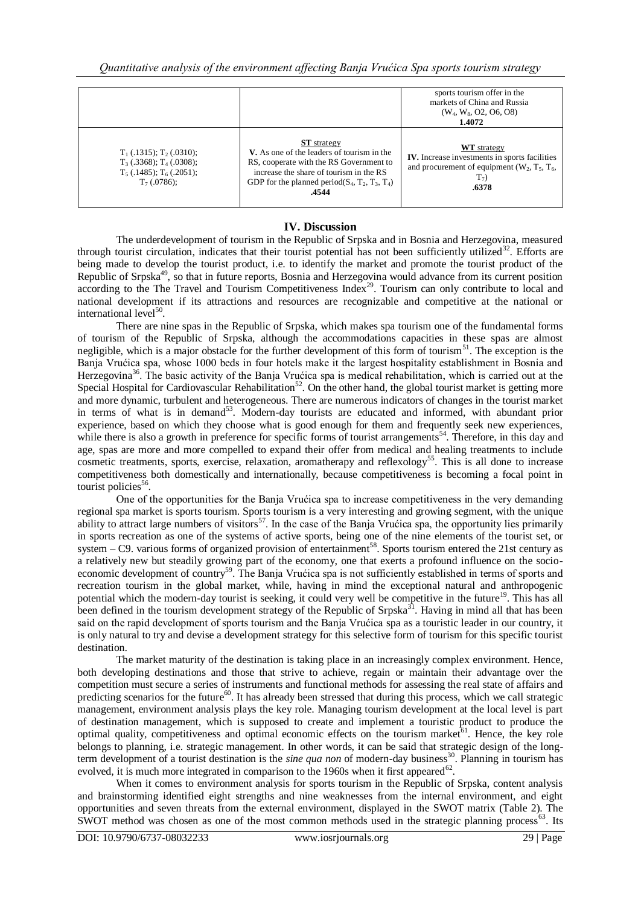|                                                                                                                 |                                                                                                                                                                                                                                       | sports tourism offer in the<br>markets of China and Russia<br>$(W_4, W_8, O2, O6, O8)$<br>1.4072                                        |
|-----------------------------------------------------------------------------------------------------------------|---------------------------------------------------------------------------------------------------------------------------------------------------------------------------------------------------------------------------------------|-----------------------------------------------------------------------------------------------------------------------------------------|
| $T_1$ (.1315); $T_2$ (.0310);<br>$T_3$ (.3368); $T_4$ (.0308);<br>$T_5(0.1485); T_6(0.2051);$<br>$T_7(.0786)$ ; | <b>ST</b> strategy<br><b>V.</b> As one of the leaders of tourism in the<br>RS, cooperate with the RS Government to<br>increase the share of tourism in the RS<br>GDP for the planned period( $S_4$ , $T_2$ , $T_3$ , $T_4$ )<br>.4544 | <b>WT</b> strategy<br>IV. Increase investments in sports facilities<br>and procurement of equipment $(W_2, T_5, T_6,$<br>$T_7$<br>.6378 |

## **IV. Discussion**

The underdevelopment of tourism in the Republic of Srpska and in Bosnia and Herzegovina, measured through tourist circulation, indicates that their tourist potential has not been sufficiently utilized $32$ . Efforts are being made to develop the tourist product, i.e. to identify the market and promote the tourist product of the Republic of Srpska<sup>49</sup>, so that in future reports, Bosnia and Herzegovina would advance from its current position according to the The Travel and Tourism Competitiveness Index<sup>29</sup>. Tourism can only contribute to local and national development if its attractions and resources are recognizable and competitive at the national or international level<sup>50</sup>.

There are nine spas in the Republic of Srpska, which makes spa tourism one of the fundamental forms of tourism of the Republic of Srpska, although the accommodations capacities in these spas are almost negligible, which is a major obstacle for the further development of this form of tourism<sup>51</sup>. The exception is the Banja Vrućica spa, whose 1000 beds in four hotels make it the largest hospitality establishment in Bosnia and Herzegovina<sup>36</sup>. The basic activity of the Banja Vrućica spa is medical rehabilitation, which is carried out at the Special Hospital for Cardiovascular Rehabilitation<sup>52</sup>. On the other hand, the global tourist market is getting more and more dynamic, turbulent and heterogeneous. There are numerous indicators of changes in the tourist market in terms of what is in demand<sup>53</sup>. Modern-day tourists are educated and informed, with abundant prior experience, based on which they choose what is good enough for them and frequently seek new experiences, while there is also a growth in preference for specific forms of tourist arrangements<sup>54</sup>. Therefore, in this day and age, spas are more and more compelled to expand their offer from medical and healing treatments to include cosmetic treatments, sports, exercise, relaxation, aromatherapy and reflexology<sup>55</sup>. This is all done to increase competitiveness both domestically and internationally, because competitiveness is becoming a focal point in tourist policies<sup>56</sup>.

One of the opportunities for the Banja Vrućica spa to increase competitiveness in the very demanding regional spa market is sports tourism. Sports tourism is a very interesting and growing segment, with the unique ability to attract large numbers of visitors<sup>57</sup>. In the case of the Banja Vrućica spa, the opportunity lies primarily in sports recreation as one of the systems of active sports, being one of the nine elements of the tourist set, or system – C9. various forms of organized provision of entertainment<sup>58</sup>. Sports tourism entered the 21st century as a relatively new but steadily growing part of the economy, one that exerts a profound influence on the socioeconomic development of country<sup>59</sup>. The Banja Vrućica spa is not sufficiently established in terms of sports and recreation tourism in the global market, while, having in mind the exceptional natural and anthropogenic potential which the modern-day tourist is seeking, it could very well be competitive in the future<sup>19</sup>. This has all been defined in the tourism development strategy of the Republic of Srpska<sup>31</sup>. Having in mind all that has been said on the rapid development of sports tourism and the Banja Vrućica spa as a touristic leader in our country, it is only natural to try and devise a development strategy for this selective form of tourism for this specific tourist destination.

The market maturity of the destination is taking place in an increasingly complex environment. Hence, both developing destinations and those that strive to achieve, regain or maintain their advantage over the competition must secure a series of instruments and functional methods for assessing the real state of affairs and predicting scenarios for the future<sup>60</sup>. It has already been stressed that during this process, which we call strategic management, environment analysis plays the key role. Managing tourism development at the local level is part of destination management, which is supposed to create and implement a touristic product to produce the optimal quality, competitiveness and optimal economic effects on the tourism market $61$ . Hence, the key role belongs to planning, i.e. strategic management. In other words, it can be said that strategic design of the longterm development of a tourist destination is the *sine qua non* of modern-day business<sup>30</sup>. Planning in tourism has evolved, it is much more integrated in comparison to the 1960s when it first appeared<sup>62</sup>.

When it comes to environment analysis for sports tourism in the Republic of Srpska, content analysis and brainstorming identified eight strengths and nine weaknesses from the internal environment, and eight opportunities and seven threats from the external environment, displayed in the SWOT matrix (Table 2). The SWOT method was chosen as one of the most common methods used in the strategic planning process<sup>63</sup>. Its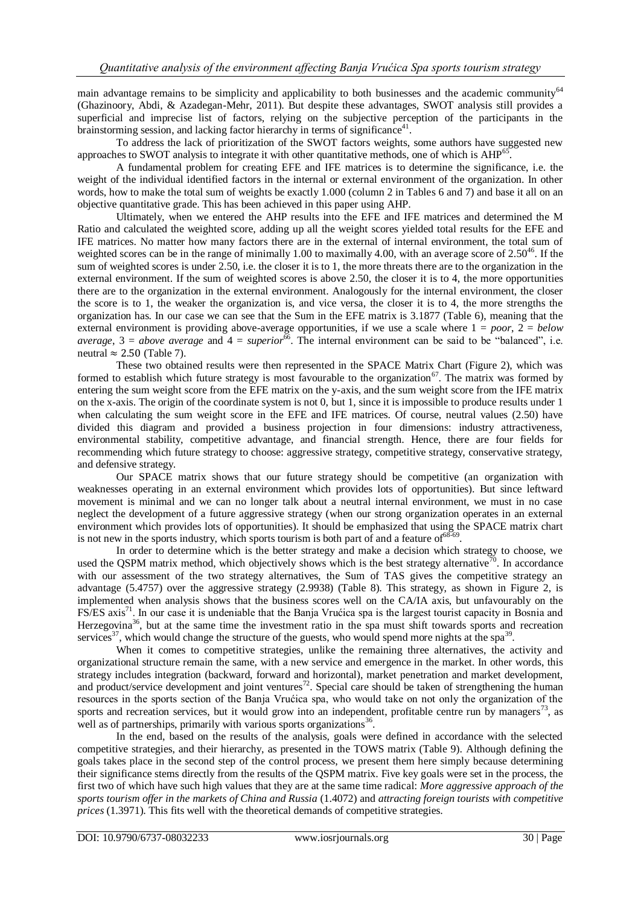main advantage remains to be simplicity and applicability to both businesses and the academic community<sup>64</sup> (Ghazinoory, Abdi, & Azadegan-Mehr, 2011). But despite these advantages, SWOT analysis still provides a superficial and imprecise list of factors, relying on the subjective perception of the participants in the brainstorming session, and lacking factor hierarchy in terms of significance<sup>41</sup>.

To address the lack of prioritization of the SWOT factors weights, some authors have suggested new approaches to SWOT analysis to integrate it with other quantitative methods, one of which is AHP<sup>65</sup>.

A fundamental problem for creating EFE and IFE matrices is to determine the significance, i.e. the weight of the individual identified factors in the internal or external environment of the organization. In other words, how to make the total sum of weights be exactly 1.000 (column 2 in Tables 6 and 7) and base it all on an objective quantitative grade. This has been achieved in this paper using AHP.

Ultimately, when we entered the AHP results into the EFE and IFE matrices and determined the M Ratio and calculated the weighted score, adding up all the weight scores yielded total results for the EFE and IFE matrices. No matter how many factors there are in the external of internal environment, the total sum of weighted scores can be in the range of minimally 1.00 to maximally 4.00, with an average score of  $2.50^{46}$ . If the sum of weighted scores is under 2.50, i.e. the closer it is to 1, the more threats there are to the organization in the external environment. If the sum of weighted scores is above 2.50, the closer it is to 4, the more opportunities there are to the organization in the external environment. Analogously for the internal environment, the closer the score is to 1, the weaker the organization is, and vice versa, the closer it is to 4, the more strengths the organization has. In our case we can see that the Sum in the EFE matrix is 3.1877 (Table 6), meaning that the external environment is providing above-average opportunities, if we use a scale where  $1 = poor$ ,  $2 = below$ *average*,  $3 = above$  *average* and  $4 = superior^{66}$ . The internal environment can be said to be "balanced", i.e. neutral  $\approx 2.50$  (Table 7).

These two obtained results were then represented in the SPACE Matrix Chart (Figure 2), which was formed to establish which future strategy is most favourable to the organization<sup>67</sup>. The matrix was formed by entering the sum weight score from the EFE matrix on the y-axis, and the sum weight score from the IFE matrix on the x-axis. The origin of the coordinate system is not 0, but 1, since it is impossible to produce results under 1 when calculating the sum weight score in the EFE and IFE matrices. Of course, neutral values (2.50) have divided this diagram and provided a business projection in four dimensions: industry attractiveness, environmental stability, competitive advantage, and financial strength. Hence, there are four fields for recommending which future strategy to choose: aggressive strategy, competitive strategy, conservative strategy, and defensive strategy.

Our SPACE matrix shows that our future strategy should be competitive (an organization with weaknesses operating in an external environment which provides lots of opportunities). But since leftward movement is minimal and we can no longer talk about a neutral internal environment, we must in no case neglect the development of a future aggressive strategy (when our strong organization operates in an external environment which provides lots of opportunities). It should be emphasized that using the SPACE matrix chart is not new in the sports industry, which sports tourism is both part of and a feature of  $68.69$ .

In order to determine which is the better strategy and make a decision which strategy to choose, we used the QSPM matrix method, which objectively shows which is the best strategy alternative<sup>70</sup>. In accordance with our assessment of the two strategy alternatives, the Sum of TAS gives the competitive strategy an advantage (5.4757) over the aggressive strategy (2.9938) (Table 8). This strategy, as shown in Figure 2, is implemented when analysis shows that the business scores well on the CA/IA axis, but unfavourably on the FS/ES axis<sup>71</sup>. In our case it is undeniable that the Banja Vrućica spa is the largest tourist capacity in Bosnia and Herzegovina<sup>36</sup>, but at the same time the investment ratio in the spa must shift towards sports and recreation services<sup>37</sup>, which would change the structure of the guests, who would spend more nights at the spa<sup>39</sup>.

When it comes to competitive strategies, unlike the remaining three alternatives, the activity and organizational structure remain the same, with a new service and emergence in the market. In other words, this strategy includes integration (backward, forward and horizontal), market penetration and market development, and product/service development and joint ventures<sup>72</sup>. Special care should be taken of strengthening the human resources in the sports section of the Banja Vrućica spa, who would take on not only the organization of the sports and recreation services, but it would grow into an independent, profitable centre run by managers<sup>73</sup>, as well as of partnerships, primarily with various sports organizations<sup>36</sup>.

In the end, based on the results of the analysis, goals were defined in accordance with the selected competitive strategies, and their hierarchy, as presented in the TOWS matrix (Table 9). Although defining the goals takes place in the second step of the control process, we present them here simply because determining their significance stems directly from the results of the QSPM matrix. Five key goals were set in the process, the first two of which have such high values that they are at the same time radical: *More aggressive approach of the sports tourism offer in the markets of China and Russia* (1.4072) and *attracting foreign tourists with competitive prices* (1.3971). This fits well with the theoretical demands of competitive strategies.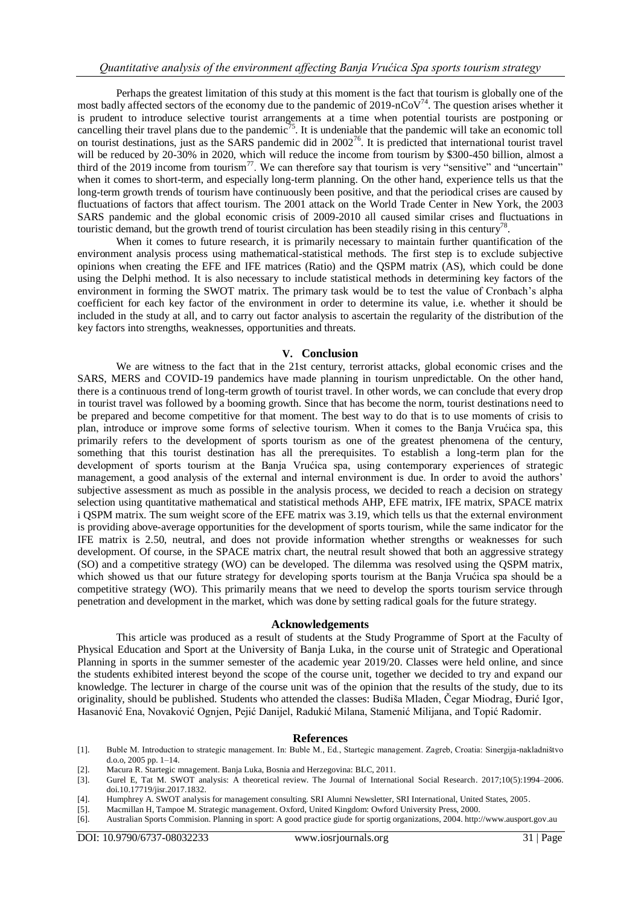Perhaps the greatest limitation of this study at this moment is the fact that tourism is globally one of the most badly affected sectors of the economy due to the pandemic of 2019-nCoV<sup>74</sup>. The question arises whether it is prudent to introduce selective tourist arrangements at a time when potential tourists are postponing or cancelling their travel plans due to the pandemic<sup>75</sup>. It is undeniable that the pandemic will take an economic toll on tourist destinations, just as the SARS pandemic did in 2002<sup>76</sup>. It is predicted that international tourist travel will be reduced by 20-30% in 2020, which will reduce the income from tourism by \$300-450 billion, almost a third of the 2019 income from tourism<sup>77</sup>. We can therefore say that tourism is very "sensitive" and "uncertain" when it comes to short-term, and especially long-term planning. On the other hand, experience tells us that the long-term growth trends of tourism have continuously been positive, and that the periodical crises are caused by fluctuations of factors that affect tourism. The 2001 attack on the World Trade Center in New York, the 2003 SARS pandemic and the global economic crisis of 2009-2010 all caused similar crises and fluctuations in touristic demand, but the growth trend of tourist circulation has been steadily rising in this century<sup>78</sup>.

When it comes to future research, it is primarily necessary to maintain further quantification of the environment analysis process using mathematical-statistical methods. The first step is to exclude subjective opinions when creating the EFE and IFE matrices (Ratio) and the QSPM matrix (AS), which could be done using the Delphi method. It is also necessary to include statistical methods in determining key factors of the environment in forming the SWOT matrix. The primary task would be to test the value of Cronbach's alpha coefficient for each key factor of the environment in order to determine its value, i.e. whether it should be included in the study at all, and to carry out factor analysis to ascertain the regularity of the distribution of the key factors into strengths, weaknesses, opportunities and threats.

### **V. Conclusion**

We are witness to the fact that in the 21st century, terrorist attacks, global economic crises and the SARS, MERS and COVID-19 pandemics have made planning in tourism unpredictable. On the other hand, there is a continuous trend of long-term growth of tourist travel. In other words, we can conclude that every drop in tourist travel was followed by a booming growth. Since that has become the norm, tourist destinations need to be prepared and become competitive for that moment. The best way to do that is to use moments of crisis to plan, introduce or improve some forms of selective tourism. When it comes to the Banja Vrućica spa, this primarily refers to the development of sports tourism as one of the greatest phenomena of the century, something that this tourist destination has all the prerequisites. To establish a long-term plan for the development of sports tourism at the Banja Vrućica spa, using contemporary experiences of strategic management, a good analysis of the external and internal environment is due. In order to avoid the authors' subjective assessment as much as possible in the analysis process, we decided to reach a decision on strategy selection using quantitative mathematical and statistical methods AHP, EFE matrix, IFE matrix, SPACE matrix i QSPM matrix. The sum weight score of the EFE matrix was 3.19, which tells us that the external environment is providing above-average opportunities for the development of sports tourism, while the same indicator for the IFE matrix is 2.50, neutral, and does not provide information whether strengths or weaknesses for such development. Of course, in the SPACE matrix chart, the neutral result showed that both an aggressive strategy (SO) and a competitive strategy (WO) can be developed. The dilemma was resolved using the QSPM matrix, which showed us that our future strategy for developing sports tourism at the Banja Vrućica spa should be a competitive strategy (WO). This primarily means that we need to develop the sports tourism service through penetration and development in the market, which was done by setting radical goals for the future strategy.

#### **Acknowledgements**

This article was produced as a result of students at the Study Programme of Sport at the Faculty of Physical Education and Sport at the University of Banja Luka, in the course unit of Strategic and Operational Planning in sports in the summer semester of the academic year 2019/20. Classes were held online, and since the students exhibited interest beyond the scope of the course unit, together we decided to try and expand our knowledge. The lecturer in charge of the course unit was of the opinion that the results of the study, due to its originality, should be published. Students who attended the classes: Budiša Mladen, Čegar Miodrag, Đurić Igor, Hasanović Ena, Novaković Ognjen, Pejić Danijel, Radukić Milana, Stamenić Milijana, and Topić Radomir.

#### **References**

- [1]. Buble M. Introduction to strategic management. In: Buble M., Ed., Startegic management. Zagreb, Croatia: Sinergija-nakladništvo d.o.o, 2005 pp. 1–14.
- [2]. Macura R. Startegic mnagement. Banja Luka, Bosnia and Herzegovina: BLC, 2011.
- [3]. Gurel E, Tat M. SWOT analysis: A theoretical review. The Journal of International Social Research. 2017;10(5):1994–2006. doi.10.17719/jisr.2017.1832.
- [4]. Humphrey A. SWOT analysis for management consulting. SRI Alumni Newsletter, SRI International, United States, 2005.
- [5]. Macmillan H, Tampoe M. Strategic management. Oxford, United Kingdom: Owford University Press, 2000.
- [6]. Australian Sports Commision. Planning in sport: A good practice giude for sportig organizations, 2004. http://www.ausport.gov.au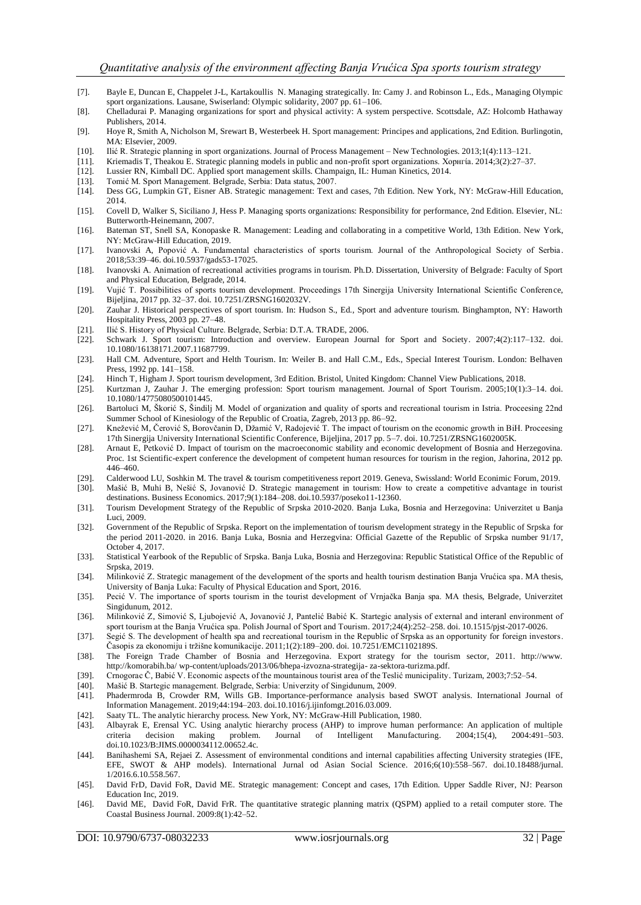- [7]. Bayle E, Duncan E, Chappelet J-L, Kartakoullis N. Managing strategically. In: Camy J. and Robinson L., Eds., Managing Olympic sport organizations. Lausane, Swiserland: Olympic solidarity, 2007 pp. 61-106.
- [8]. Chelladurai P. Managing organizations for sport and physical activity: A system perspective. Scottsdale, AZ: Holcomb Hathaway Publishers, 2014.
- [9]. Hoye R, Smith A, Nicholson M, Srewart B, Westerbeek H. Sport management: Principes and applications, 2nd Edition. Burlingotin, MA: Elsevier, 2009.
- [10]. Ilić R. Strategic planning in sport organizations. Journal of Process Management New Technologies. 2013;1(4):113–121.
- [11]. Kriemadis T, Theakou E. Strategic planning models in public and non-profit sport organizations. Χорнгίа. 2014;3(2):27–37.
- [12]. Lussier RN, Kimball DC. Applied sport management skills. Champaign, IL: Human Kinetics, 2014.
- [13]. Tomić M. Sport Management. Belgrade, Serbia: Data status, 2007.
- [14]. Dess GG, Lumpkin GT, Eisner AB. Strategic management: Text and cases, 7th Edition. New York, NY: McGraw-Hill Education, 2014.
- [15]. Covell D, Walker S, Siciliano J, Hess P. Managing sports organizations: Responsibility for performance, 2nd Edition. Elsevier, NL: Butterworth-Heinemann, 2007.
- [16]. Bateman ST, Snell SA, Konopaske R. Management: Leading and collaborating in a competitive World, 13th Edition. New York, NY: McGraw-Hill Education, 2019.
- [17]. Ivanovski A, Popović A. Fundamental characteristics of sports tourism. Journal of the Anthropological Society of Serbia . 2018;53:39–46. doi.10.5937/gads53-17025.
- [18]. Ivanovski A. Animation of recreational activities programs in tourism. Ph.D. Dissertation, University of Belgrade: Faculty of Sport and Physical Education, Belgrade, 2014.
- [19]. Vujić T. Possibilities of sports tourism development. Proceedings 17th Sinergija University International Scientific Conference, Bijeljina, 2017 pp. 32–37. doi. 10.7251/ZRSNG1602032V.
- [20]. Zauhar J. Historical perspectives of sport tourism. In: Hudson S., Ed., Sport and adventure tourism. Binghampton, NY: Haworth Hospitality Press, 2003 pp. 27–48.
- [21]. Ilić S. History of Physical Culture. Belgrade, Serbia: D.T.A. TRADE, 2006.
- [22]. Schwark J. Sport tourism: Introduction and overview. European Journal for Sport and Society. 2007;4(2):117–132. doi. [10.1080/16138171.2007.11687799.](https://doi.org/10.1080/16138171.2007.11687799)
- [23]. Hall CM. Adventure, Sport and Helth Tourism. In: Weiler B. and Hall C.M., Eds., Special Interest Tourism. London: Belhaven Press, 1992 pp. 141–158.
- [24]. Hinch T, Higham J. Sport tourism development, 3rd Edition. Bristol, United Kingdom: Channel View Publications, 2018.
- [25]. Kurtzman J, Zauhar J. The emerging profession: Sport tourism management. Journal of Sport Tourism. 2005;10(1):3–14. doi. [10.1080/14775080500101445.](https://www.researchgate.net/deref/http%3A%2F%2Fdx.doi.org%2F10.1080%2F14775080500101445)
- [26]. Bartoluci M, Škorić S, Šindilj M. Model of organization and quality of sports and recreational tourism in Istria. Proceesing 22nd Summer School of Kinesiology of the Republic of Croatia, Zagreb, 2013 pp. 86–92.
- [27]. Knežević M, Čerović S, Borovčanin D, Džamić V, Radojević T. The impact of tourism on the economic growth in BiH. Proceesing 17th Sinergija University International Scientific Conference, Bijeljina, 2017 pp. 5–7. doi. 10.7251/ZRSNG1602005K.
- [28]. Arnaut E, Petković D. Impact of tourism on the macroeconomic stability and economic development of Bosnia and Herzegovina. Proc. 1st Scientific-expert conference the development of competent human resources for tourism in the region, Jahorina, 2012 pp. 446–460.
- [29]. Calderwood LU, Soshkin M. The travel & tourism competitiveness report 2019. Geneva, Swissland: World Econimic Forum, 2019.
- [30]. Mašić B, Muhi B, Nešić S, Jovanović D. Strategic management in tourism: How to create a competitive advantage in tourist destinations. Business Economics. 2017;9(1):184–208. doi.10.5937/poseko11-12360.
- [31]. Tourism Development Strategy of the Republic of Srpska 2010-2020. Banja Luka, Bosnia and Herzegovina: Univerzitet u Banja Luci, 2009.
- [32]. Government of the Republic of Srpska. Report on the implementation of tourism development strategy in the Republic of Srpska for the period 2011-2020. in 2016. Banja Luka, Bosnia and Herzegvina: Official Gazette of the Republic of Srpska number 91/17, October 4, 2017.
- [33]. Statistical Yearbook of the Republic of Srpska. Banja Luka, Bosnia and Herzegovina: Republic Statistical Office of the Republic of Srpska, 2019.
- [34]. Milinković Z. Strategic management of the development of the sports and health tourism destination Banja Vrućica spa. MA thesis, University of Banja Luka: Faculty of Physical Education and Sport, 2016.
- [35]. Pecić V. The importance of sports tourism in the tourist development of Vrnjačka Banja spa. MA thesis, Belgrade, Univerzitet Singidunum, 2012.
- [36]. Milinković Z, Simović S, Ljubojević A, Jovanović J, Pantelić Babić K. Startegic analysis of external and interanl environment of sport tourism at the Banja Vrućica spa. Polish Journal of Sport and Tourism. 2017;24(4):252–258. doi. [10.1515/pjst-2017-0026.](https://doi.org/10.1515/pjst-2017-0026)
- [37]. Segić S. The development of health spa and recreational tourism in the Republic of Srpska as an opportunity for foreign investors. Časopis za ekonomiju i tržišne komunikacije. 2011;1(2):189–200. doi. 10.7251/EMC1102189S.
- [38]. The Foreign Trade Chamber of Bosnia and Herzegovina. Export strategy for the tourism sector, 2011. http://www. http://komorabih.ba/ wp-content/uploads/2013/06/bhepa-izvozna-strategija- za-sektora-turizma.pdf.
- [39]. Crnogorac Č, Babić V. Economic aspects of the mountainous tourist area of the Teslić municipality. Turizam, 2003;7:52–54.
- [40]. Mašić B. Startegic management. Belgrade, Serbia: Univerzity of Singidunum, 2009.
- [41]. Phadermroda B, Crowder RM, Wills GB. Importance-performance analysis based SWOT analysis. International Journal of Information Management. 2019;44:194–203. doi.10.1016/j.ijinfomgt.2016.03.009.
- [42]. Saaty TL. The analytic hierarchy process. New York, NY: McGraw-Hill Publication, 1980.
- [43]. Albayrak E, Erensal YC. Using analytic hierarchy process (AHP) to improve human performance: An application of multiple decision making problem. Journal of Intelligent Manufacturing. 2004;15(4), 2004:491-503. doi.10.1023/B:JIMS.0000034112.00652.4c.
- [44]. Banihashemi SA, Rejaei Z. Assessment of environmental conditions and internal capabilities affecting University strategies (IFE, EFE, SWOT & AHP models). International Jurnal od Asian Social Science. 2016;6(10):558–567. doi.10.18488/jurnal. 1/2016.6.10.558.567.
- [45]. David FrD, David FoR, David ME. Strategic management: Concept and cases, 17th Edition. Upper Saddle River, NJ: Pearson Education Inc, 2019.
- [46]. David ME, David FoR, David FrR. The quantitative strategic planning matrix (QSPM) applied to a retail computer store. The Coastal Business Journal. 2009:8(1):42–52.